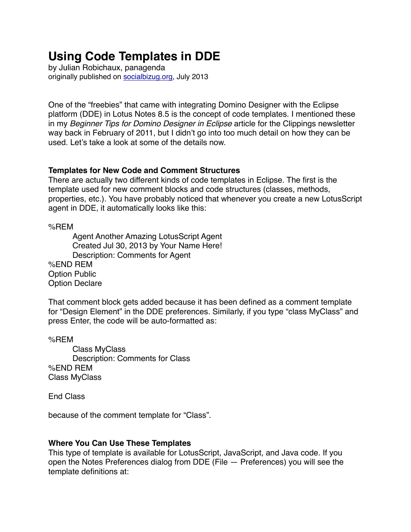# **Using Code Templates in DDE**

by Julian Robichaux, panagenda originally published on [socialbizug.org](http://socialbizug.org), July 2013

One of the "freebies" that came with integrating Domino Designer with the Eclipse platform (DDE) in Lotus Notes 8.5 is the concept of code templates. I mentioned these in my *Beginner Tips for Domino Designer in Eclipse* article for the Clippings newsletter way back in February of 2011, but I didn't go into too much detail on how they can be used. Let's take a look at some of the details now.

## **Templates for New Code and Comment Structures**

There are actually two different kinds of code templates in Eclipse. The first is the template used for new comment blocks and code structures (classes, methods, properties, etc.). You have probably noticed that whenever you create a new LotusScript agent in DDE, it automatically looks like this:

%REM

Agent Another Amazing LotusScript Agent Created Jul 30, 2013 by Your Name Here! Description: Comments for Agent %END REM Option Public Option Declare

That comment block gets added because it has been defined as a comment template for "Design Element" in the DDE preferences. Similarly, if you type "class MyClass" and press Enter, the code will be auto-formatted as:

%REM

Class MyClass Description: Comments for Class %END REM Class MyClass

End Class

because of the comment template for "Class".

# **Where You Can Use These Templates**

This type of template is available for LotusScript, JavaScript, and Java code. If you open the Notes Preferences dialog from DDE (File — Preferences) you will see the template definitions at: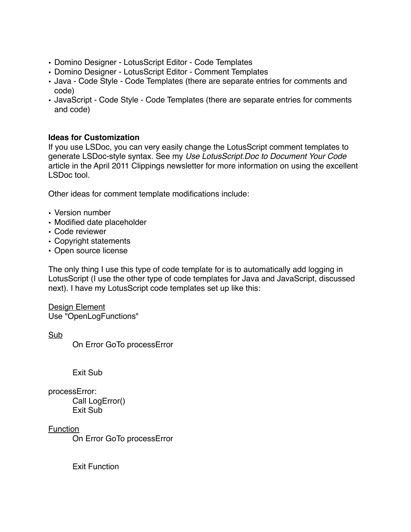- Domino Designer LotusScript Editor Code Templates
- Domino Designer LotusScript Editor Comment Templates
- Java Code Style Code Templates (there are separate entries for comments and code)
- JavaScript Code Style Code Templates (there are separate entries for comments and code)

## **Ideas for Customization**

If you use LSDoc, you can very easily change the LotusScript comment templates to generate LSDoc-style syntax. See my *Use LotusScript.Doc to Document Your Code* article in the April 2011 Clippings newsletter for more information on using the excellent LSDoc tool.

Other ideas for comment template modifications include:

- Version number
- Modified date placeholder
- Code reviewer
- Copyright statements
- Open source license

The only thing I use this type of code template for is to automatically add logging in LotusScript (I use the other type of code templates for Java and JavaScript, discussed next). I have my LotusScript code templates set up like this:

Design Element Use "OpenLogFunctions"

Sub

On Error GoTo processError

Exit Sub

processError: Call LogError() Exit Sub

Function

On Error GoTo processError

Exit Function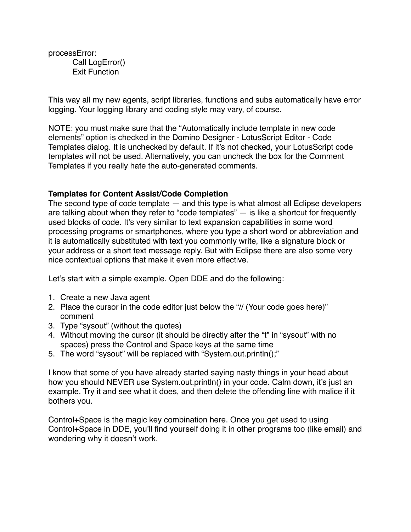processError: Call LogError() Exit Function

This way all my new agents, script libraries, functions and subs automatically have error logging. Your logging library and coding style may vary, of course.

NOTE: you must make sure that the "Automatically include template in new code elements" option is checked in the Domino Designer - LotusScript Editor - Code Templates dialog. It is unchecked by default. If it's not checked, your LotusScript code templates will not be used. Alternatively, you can uncheck the box for the Comment Templates if you really hate the auto-generated comments.

## **Templates for Content Assist/Code Completion**

The second type of code template — and this type is what almost all Eclipse developers are talking about when they refer to "code templates" — is like a shortcut for frequently used blocks of code. It's very similar to text expansion capabilities in some word processing programs or smartphones, where you type a short word or abbreviation and it is automatically substituted with text you commonly write, like a signature block or your address or a short text message reply. But with Eclipse there are also some very nice contextual options that make it even more effective.

Let's start with a simple example. Open DDE and do the following:

- 1. Create a new Java agent
- 2. Place the cursor in the code editor just below the "// (Your code goes here)" comment
- 3. Type "sysout" (without the quotes)
- 4. Without moving the cursor (it should be directly after the "t" in "sysout" with no spaces) press the Control and Space keys at the same time
- 5. The word "sysout" will be replaced with "System.out.println();"

I know that some of you have already started saying nasty things in your head about how you should NEVER use System.out.println() in your code. Calm down, it's just an example. Try it and see what it does, and then delete the offending line with malice if it bothers you.

Control+Space is the magic key combination here. Once you get used to using Control+Space in DDE, you'll find yourself doing it in other programs too (like email) and wondering why it doesn't work.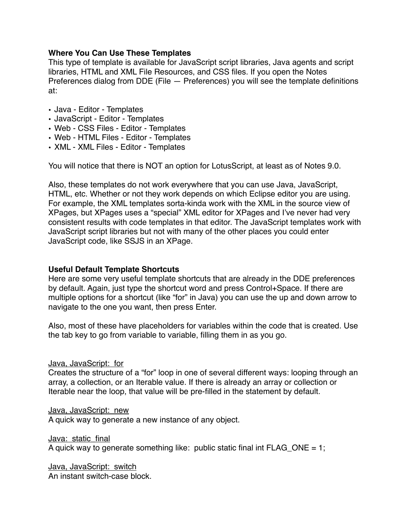## **Where You Can Use These Templates**

This type of template is available for JavaScript script libraries, Java agents and script libraries, HTML and XML File Resources, and CSS files. If you open the Notes Preferences dialog from DDE (File — Preferences) you will see the template definitions at:

- Java Editor Templates
- JavaScript Editor Templates
- Web CSS Files Editor Templates
- Web HTML Files Editor Templates
- XML XML Files Editor Templates

You will notice that there is NOT an option for LotusScript, at least as of Notes 9.0.

Also, these templates do not work everywhere that you can use Java, JavaScript, HTML, etc. Whether or not they work depends on which Eclipse editor you are using. For example, the XML templates sorta-kinda work with the XML in the source view of XPages, but XPages uses a "special" XML editor for XPages and I've never had very consistent results with code templates in that editor. The JavaScript templates work with JavaScript script libraries but not with many of the other places you could enter JavaScript code, like SSJS in an XPage.

## **Useful Default Template Shortcuts**

Here are some very useful template shortcuts that are already in the DDE preferences by default. Again, just type the shortcut word and press Control+Space. If there are multiple options for a shortcut (like "for" in Java) you can use the up and down arrow to navigate to the one you want, then press Enter.

Also, most of these have placeholders for variables within the code that is created. Use the tab key to go from variable to variable, filling them in as you go.

Java, JavaScript: for

Creates the structure of a "for" loop in one of several different ways: looping through an array, a collection, or an Iterable value. If there is already an array or collection or Iterable near the loop, that value will be pre-filled in the statement by default.

Java, JavaScript: new

A quick way to generate a new instance of any object.

Java: static\_final

A quick way to generate something like: public static final int  $FLAG$  ONE = 1;

Java, JavaScript: switch An instant switch-case block.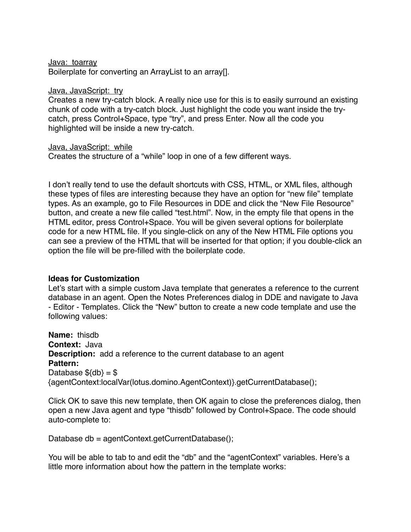Java: toarray

Boilerplate for converting an ArrayList to an array[].

#### Java, JavaScript: try

Creates a new try-catch block. A really nice use for this is to easily surround an existing chunk of code with a try-catch block. Just highlight the code you want inside the trycatch, press Control+Space, type "try", and press Enter. Now all the code you highlighted will be inside a new try-catch.

#### Java, JavaScript: while

Creates the structure of a "while" loop in one of a few different ways.

I don't really tend to use the default shortcuts with CSS, HTML, or XML files, although these types of files are interesting because they have an option for "new file" template types. As an example, go to File Resources in DDE and click the "New File Resource" button, and create a new file called "test.html". Now, in the empty file that opens in the HTML editor, press Control+Space. You will be given several options for boilerplate code for a new HTML file. If you single-click on any of the New HTML File options you can see a preview of the HTML that will be inserted for that option; if you double-click an option the file will be pre-filled with the boilerplate code.

## **Ideas for Customization**

Let's start with a simple custom Java template that generates a reference to the current database in an agent. Open the Notes Preferences dialog in DDE and navigate to Java - Editor - Templates. Click the "New" button to create a new code template and use the following values:

**Name:** thisdb **Context:** Java **Description:** add a reference to the current database to an agent **Pattern:** Database  $${d}b$  =  $$$ {agentContext:localVar(lotus.domino.AgentContext)}.getCurrentDatabase();

Click OK to save this new template, then OK again to close the preferences dialog, then open a new Java agent and type "thisdb" followed by Control+Space. The code should auto-complete to:

Database db = agentContext.getCurrentDatabase();

You will be able to tab to and edit the "db" and the "agentContext" variables. Here's a little more information about how the pattern in the template works: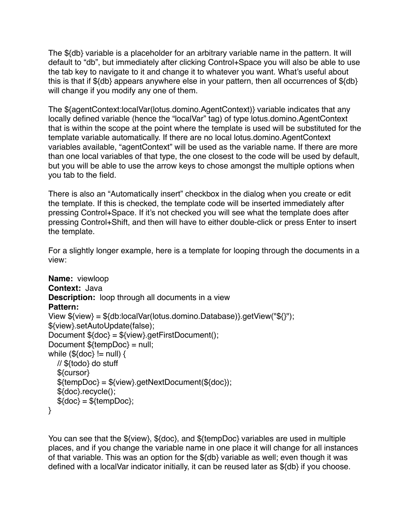The \${db} variable is a placeholder for an arbitrary variable name in the pattern. It will default to "db", but immediately after clicking Control+Space you will also be able to use the tab key to navigate to it and change it to whatever you want. What's useful about this is that if \${db} appears anywhere else in your pattern, then all occurrences of \${db} will change if you modify any one of them.

The \${agentContext:localVar(lotus.domino.AgentContext)} variable indicates that any locally defined variable (hence the "localVar" tag) of type lotus.domino.AgentContext that is within the scope at the point where the template is used will be substituted for the template variable automatically. If there are no local lotus.domino.AgentContext variables available, "agentContext" will be used as the variable name. If there are more than one local variables of that type, the one closest to the code will be used by default, but you will be able to use the arrow keys to chose amongst the multiple options when you tab to the field.

There is also an "Automatically insert" checkbox in the dialog when you create or edit the template. If this is checked, the template code will be inserted immediately after pressing Control+Space. If it's not checked you will see what the template does after pressing Control+Shift, and then will have to either double-click or press Enter to insert the template.

For a slightly longer example, here is a template for looping through the documents in a view:

```
Name: viewloop 
Context: Java 
Description: loop through all documents in a view 
Pattern:
View ${view} = ${db:localVar(lotus.domino.Database)}.getView("${}");
${view}.setAutoUpdate(false);
Document ${doc} = ${view}.getFirstDocument();
Document ${tempDoc} = null;
while (\frac{1}{3} \cdot \frac{1}{6}) = \frac{1}{3} // ${todo} do stuff
   ${cursor}
   ${tempDoc} = ${view}.getNextDocument(${doc});
   ${doc}.recycle();
  $(doc) = $(tempDoc);}
```
You can see that the \${view}, \${doc}, and \${tempDoc} variables are used in multiple places, and if you change the variable name in one place it will change for all instances of that variable. This was an option for the \${db} variable as well; even though it was defined with a localVar indicator initially, it can be reused later as \${db} if you choose.